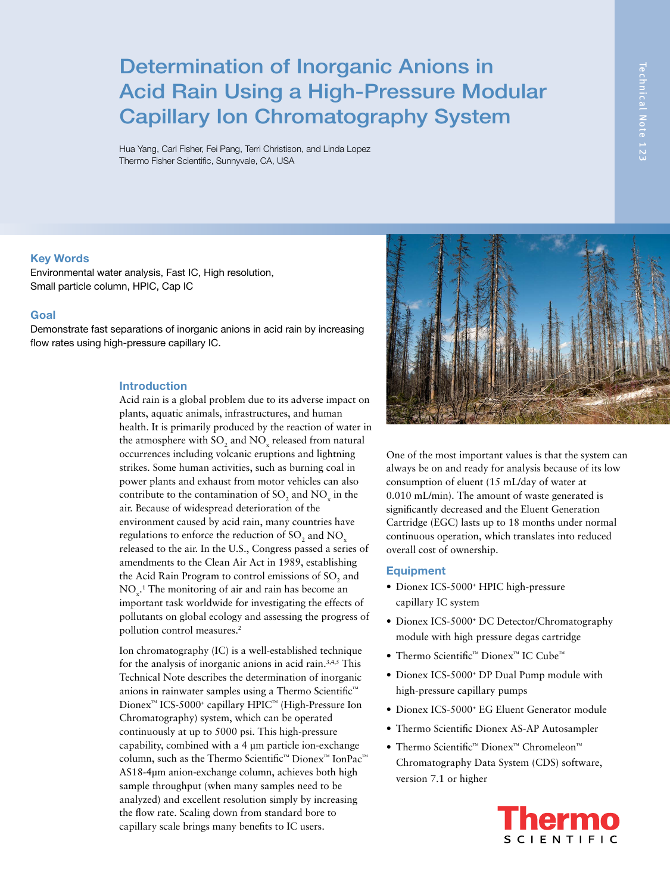# Determination of Inorganic Anions in Acid Rain Using a High-Pressure Modular Capillary Ion Chromatography System

Hua Yang, Carl Fisher, Fei Pang, Terri Christison, and Linda Lopez Thermo Fisher Scientific, Sunnyvale, CA, USA

#### **Key Words**

Environmental water analysis, Fast IC, High resolution, Small particle column, HPIC, Cap IC

## **Goal**

Demonstrate fast separations of inorganic anions in acid rain by increasing flow rates using high-pressure capillary IC.

### **Introduction**

Acid rain is a global problem due to its adverse impact on plants, aquatic animals, infrastructures, and human health. It is primarily produced by the reaction of water in the atmosphere with  $\text{SO}_2$  and  $\text{NO}_x$  released from natural occurrences including volcanic eruptions and lightning strikes. Some human activities, such as burning coal in power plants and exhaust from motor vehicles can also contribute to the contamination of  $SO_2$  and  $NO_x$  in the air. Because of widespread deterioration of the environment caused by acid rain, many countries have regulations to enforce the reduction of SO<sub>2</sub> and NO<sub>x</sub> released to the air. In the U.S., Congress passed a series of amendments to the Clean Air Act in 1989, establishing the Acid Rain Program to control emissions of  $\mathrm{SO}_2$  and  $NO<sub>x</sub>$ <sup>1</sup>. The monitoring of air and rain has become an important task worldwide for investigating the effects of pollutants on global ecology and assessing the progress of pollution control measures.<sup>2</sup>

Ion chromatography (IC) is a well-established technique for the analysis of inorganic anions in acid rain.3,4,5 This Technical Note describes the determination of inorganic anions in rainwater samples using a Thermo Scientific™ Dionex™ ICS-5000+ capillary HPIC™ (High-Pressure Ion Chromatography) system, which can be operated continuously at up to 5000 psi. This high-pressure capability, combined with a 4 μm particle ion-exchange column, such as the Thermo Scientific™ Dionex™ IonPac™ AS18-4µm anion-exchange column, achieves both high sample throughput (when many samples need to be analyzed) and excellent resolution simply by increasing the flow rate. Scaling down from standard bore to capillary scale brings many benefits to IC users.



One of the most important values is that the system can always be on and ready for analysis because of its low consumption of eluent (15 mL/day of water at 0.010 mL/min). The amount of waste generated is significantly decreased and the Eluent Generation Cartridge (EGC) lasts up to 18 months under normal continuous operation, which translates into reduced overall cost of ownership.

#### **Equipment**

- Dionex ICS-5000<sup>+</sup> HPIC high-pressure capillary IC system
- Dionex ICS-5000<sup>+</sup> DC Detector/Chromatography module with high pressure degas cartridge
- Thermo Scientific™ Dionex™ IC Cube™
- Dionex ICS-5000<sup>+</sup> DP Dual Pump module with high-pressure capillary pumps
- Dionex ICS-5000+ EG Eluent Generator module
- Thermo Scientific Dionex AS-AP Autosampler
- Thermo Scientific™ Dionex™ Chromeleon™ Chromatography Data System (CDS) software, version 7.1 or higher

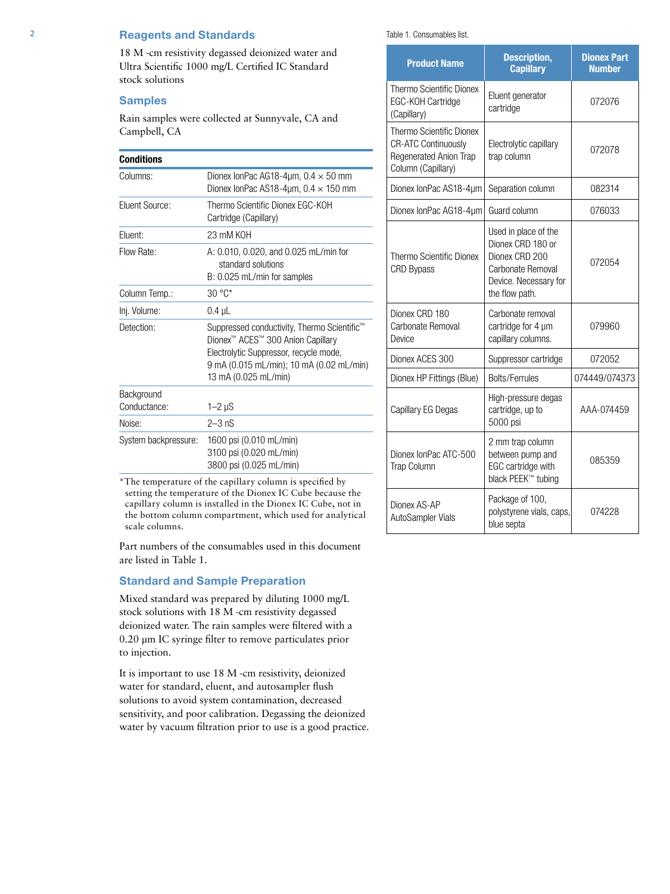## 2 **Reagents and Standards**

18 M -cm resistivity degassed deionized water and Ultra Scientific 1000 mg/L Certified IC Standard stock solutions

## **Samples**

Rain samples were collected at Sunnyvale, CA and Campbell, CA

## **Conditions**

| บบแนเแบเเจ                 |                                                                                                                                                                                                                        |  |
|----------------------------|------------------------------------------------------------------------------------------------------------------------------------------------------------------------------------------------------------------------|--|
| Columns:                   | Dionex IonPac AG18-4 $\mu$ m, 0.4 $\times$ 50 mm<br>Dionex IonPac AS18-4um, $0.4 \times 150$ mm                                                                                                                        |  |
| Eluent Source:             | Thermo Scientific Dionex EGC-KOH<br>Cartridge (Capillary)                                                                                                                                                              |  |
| Fluent:                    | 23 mM KOH                                                                                                                                                                                                              |  |
| Flow Rate:                 | A: 0.010, 0.020, and 0.025 mL/min for<br>standard solutions<br>B: 0.025 mL/min for samples                                                                                                                             |  |
| Column Temp.:              | 30 °C*                                                                                                                                                                                                                 |  |
| Inj. Volume:               | $0.4$ $\mu$ L                                                                                                                                                                                                          |  |
| Detection:                 | Suppressed conductivity, Thermo Scientific <sup>™</sup><br>Dionex <sup>™</sup> ACES™ 300 Anion Capillary<br>Electrolytic Suppressor, recycle mode,<br>9 mA (0.015 mL/min); 10 mA (0.02 mL/min)<br>13 mA (0.025 mL/min) |  |
| Background<br>Conductance: | $1-2 \mu S$                                                                                                                                                                                                            |  |
| Noise:                     | $2-3$ nS                                                                                                                                                                                                               |  |
| System backpressure:       | 1600 psi (0.010 mL/min)<br>3100 psi (0.020 mL/min)<br>3800 psi (0.025 mL/min)                                                                                                                                          |  |

\*The temperature of the capillary column is specified by setting the temperature of the Dionex IC Cube because the capillary column is installed in the Dionex IC Cube, not in the bottom column compartment, which used for analytical scale columns.

Part numbers of the consumables used in this document are listed in Table 1.

## **Standard and Sample Preparation**

Mixed standard was prepared by diluting 1000 mg/L stock solutions with 18 M -cm resistivity degassed deionized water. The rain samples were filtered with a 0.20 µm IC syringe filter to remove particulates prior to injection.

It is important to use 18 M -cm resistivity, deionized water for standard, eluent, and autosampler flush solutions to avoid system contamination, decreased sensitivity, and poor calibration. Degassing the deionized water by vacuum filtration prior to use is a good practice. Table 1. Consumables list.

| <b>Product Name</b>                                                                                                  | <b>Description,</b><br><b>Capillary</b>                                                                                     | <b>Dionex Part</b><br><b>Number</b> |
|----------------------------------------------------------------------------------------------------------------------|-----------------------------------------------------------------------------------------------------------------------------|-------------------------------------|
| Thermo Scientific Dionex<br>EGC-KOH Cartridge<br>(Capillary)                                                         | Eluent generator<br>cartridge                                                                                               | 072076                              |
| <b>Thermo Scientific Dionex</b><br><b>CR-ATC Continuously</b><br><b>Regenerated Anion Trap</b><br>Column (Capillary) | Electrolytic capillary<br>trap column                                                                                       | 072078                              |
| Dionex IonPac AS18-4um                                                                                               | Separation column                                                                                                           | 082314                              |
| Dionex IonPac AG18-4µm                                                                                               | Guard column                                                                                                                | 076033                              |
| <b>Thermo Scientific Dionex</b><br><b>CRD Bypass</b>                                                                 | Used in place of the<br>Dionex CRD 180 or<br>Dionex CRD 200<br>Carbonate Removal<br>Device. Necessary for<br>the flow path. | 072054                              |
| Dionex CRD 180<br>Carbonate Removal<br>Device                                                                        | Carbonate removal<br>cartridge for 4 µm<br>capillary columns.                                                               | 079960                              |
| Dionex ACES 300                                                                                                      | Suppressor cartridge                                                                                                        | 072052                              |
| Dionex HP Fittings (Blue)                                                                                            | <b>Bolts/Ferrules</b>                                                                                                       | 074449/074373                       |
| Capillary EG Degas                                                                                                   | High-pressure degas<br>cartridge, up to<br>5000 psi                                                                         | AAA-074459                          |
| Dionex IonPac ATC-500<br><b>Trap Column</b>                                                                          | 2 mm trap column<br>between pump and<br>EGC cartridge with<br>black PEEK™ tubing                                            | 085359                              |
| Dionex AS-AP<br>AutoSampler Vials                                                                                    | Package of 100,<br>polystyrene vials, caps,<br>blue septa                                                                   | 074228                              |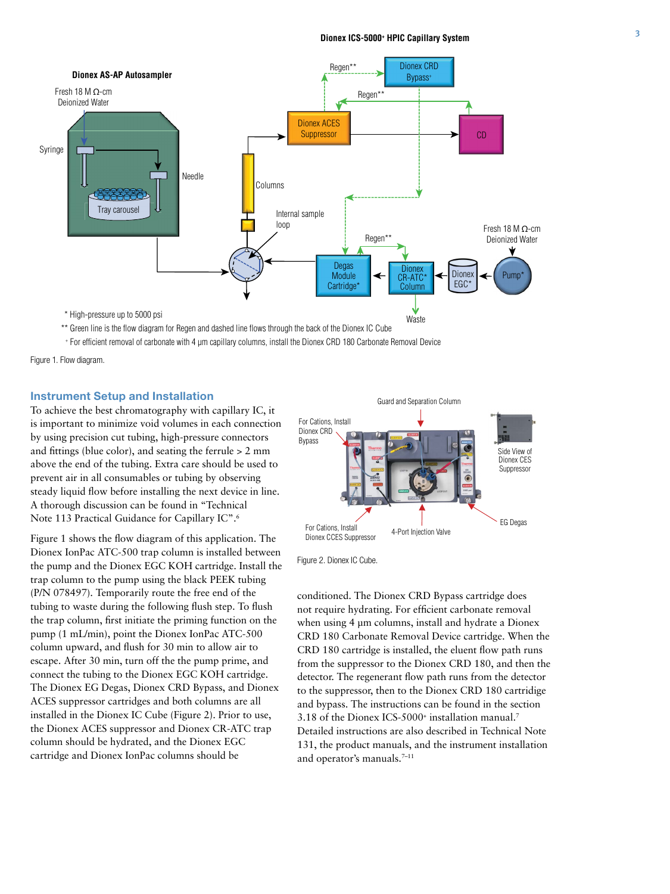

\*\* Green line is the flow diagram for Regen and dashed line flows through the back of the Dionex IC Cube

+ For efficient removal of carbonate with 4 µm capillary columns, install the Dionex CRD 180 Carbonate Removal Device

Figure 1. Flow diagram.

## **Instrument Setup and Installation**

To achieve the best chromatography with capillary IC, it is important to minimize void volumes in each connection by using precision cut tubing, high-pressure connectors and fittings (blue color), and seating the ferrule > 2 mm above the end of the tubing. Extra care should be used to prevent air in all consumables or tubing by observing steady liquid flow before installing the next device in line. A thorough discussion can be found in "Technical Note 113 Practical Guidance for Capillary IC".6

Figure 1 shows the flow diagram of this application. The Dionex IonPac ATC-500 trap column is installed between the pump and the Dionex EGC KOH cartridge. Install the trap column to the pump using the black PEEK tubing (P/N 078497). Temporarily route the free end of the tubing to waste during the following flush step. To flush the trap column, first initiate the priming function on the pump (1 mL/min), point the Dionex IonPac ATC-500 column upward, and flush for 30 min to allow air to escape. After 30 min, turn off the the pump prime, and connect the tubing to the Dionex EGC KOH cartridge. The Dionex EG Degas, Dionex CRD Bypass, and Dionex ACES suppressor cartridges and both columns are all installed in the Dionex IC Cube (Figure 2). Prior to use, the Dionex ACES suppressor and Dionex CR-ATC trap column should be hydrated, and the Dionex EGC cartridge and Dionex IonPac columns should be



Figure 2. Dionex IC Cube.

conditioned. The Dionex CRD Bypass cartridge does not require hydrating. For efficient carbonate removal when using 4 µm columns, install and hydrate a Dionex CRD 180 Carbonate Removal Device cartridge. When the CRD 180 cartridge is installed, the eluent flow path runs from the suppressor to the Dionex CRD 180, and then the detector. The regenerant flow path runs from the detector to the suppressor, then to the Dionex CRD 180 cartridige and bypass. The instructions can be found in the section 3.18 of the Dionex ICS-5000+ installation manual.7 Detailed instructions are also described in Technical Note 131, the product manuals, and the instrument installation and operator's manuals.<sup>7-11</sup>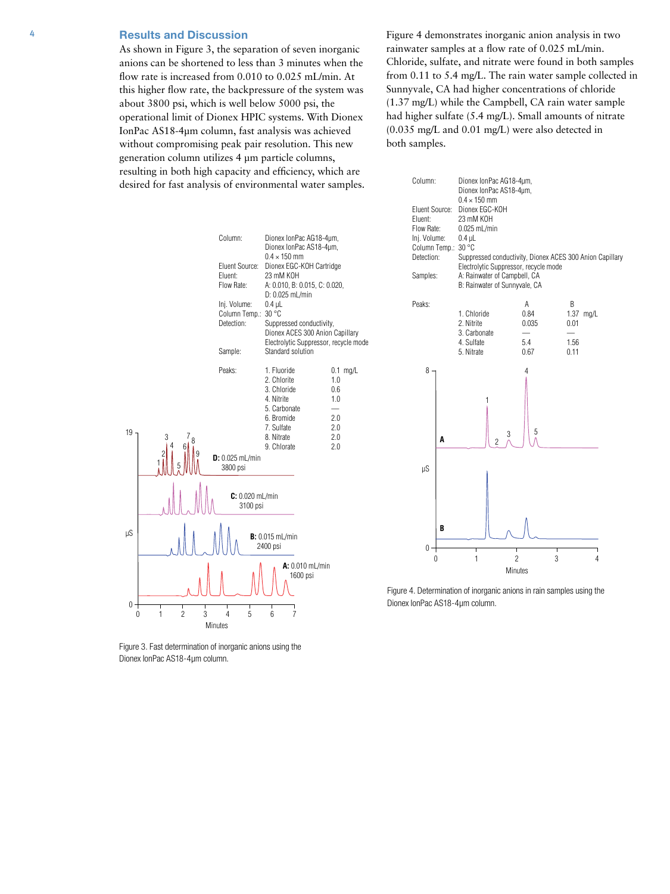## 4 **Results and Discussion**

As shown in Figure 3, the separation of seven inorganic anions can be shortened to less than 3 minutes when the flow rate is increased from 0.010 to 0.025 mL/min. At this higher flow rate, the backpressure of the system was about 3800 psi, which is well below 5000 psi, the operational limit of Dionex HPIC systems. With Dionex IonPac AS18-4µm column, fast analysis was achieved without compromising peak pair resolution. This new generation column utilizes 4 µm particle columns, resulting in both high capacity and efficiency, which are desired for fast analysis of environmental water samples. Figure 4 demonstrates inorganic anion analysis in two rainwater samples at a flow rate of 0.025 mL/min. Chloride, sulfate, and nitrate were found in both samples from 0.11 to 5.4 mg/L. The rain water sample collected in Sunnyvale, CA had higher concentrations of chloride (1.37 mg/L) while the Campbell, CA rain water sample had higher sulfate (5.4 mg/L). Small amounts of nitrate (0.035 mg/L and 0.01 mg/L) were also detected in both samples.



Figure 3. Fast determination of inorganic anions using the Dionex IonPac AS18-4µm column.



Figure 4. Determination of inorganic anions in rain samples using the Dionex IonPac AS18-4µm column.